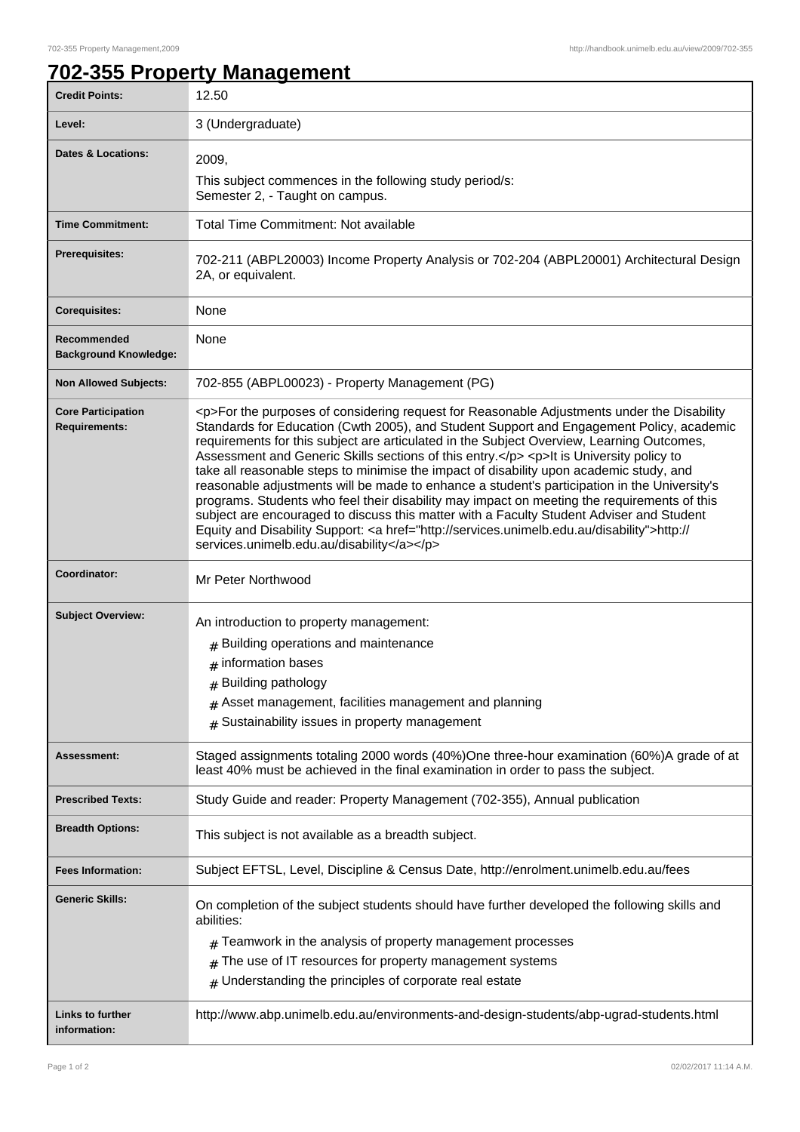## **702-355 Property Management**

| <b>Credit Points:</b>                             | 12.50                                                                                                                                                                                                                                                                                                                                                                                                                                                                                                                                                                                                                                                                                                                                                                                                                                                                                                                        |
|---------------------------------------------------|------------------------------------------------------------------------------------------------------------------------------------------------------------------------------------------------------------------------------------------------------------------------------------------------------------------------------------------------------------------------------------------------------------------------------------------------------------------------------------------------------------------------------------------------------------------------------------------------------------------------------------------------------------------------------------------------------------------------------------------------------------------------------------------------------------------------------------------------------------------------------------------------------------------------------|
| Level:                                            | 3 (Undergraduate)                                                                                                                                                                                                                                                                                                                                                                                                                                                                                                                                                                                                                                                                                                                                                                                                                                                                                                            |
| Dates & Locations:                                | 2009,                                                                                                                                                                                                                                                                                                                                                                                                                                                                                                                                                                                                                                                                                                                                                                                                                                                                                                                        |
|                                                   | This subject commences in the following study period/s:<br>Semester 2, - Taught on campus.                                                                                                                                                                                                                                                                                                                                                                                                                                                                                                                                                                                                                                                                                                                                                                                                                                   |
| <b>Time Commitment:</b>                           | <b>Total Time Commitment: Not available</b>                                                                                                                                                                                                                                                                                                                                                                                                                                                                                                                                                                                                                                                                                                                                                                                                                                                                                  |
| <b>Prerequisites:</b>                             | 702-211 (ABPL20003) Income Property Analysis or 702-204 (ABPL20001) Architectural Design<br>2A, or equivalent.                                                                                                                                                                                                                                                                                                                                                                                                                                                                                                                                                                                                                                                                                                                                                                                                               |
| <b>Corequisites:</b>                              | None                                                                                                                                                                                                                                                                                                                                                                                                                                                                                                                                                                                                                                                                                                                                                                                                                                                                                                                         |
| Recommended<br><b>Background Knowledge:</b>       | None                                                                                                                                                                                                                                                                                                                                                                                                                                                                                                                                                                                                                                                                                                                                                                                                                                                                                                                         |
| <b>Non Allowed Subjects:</b>                      | 702-855 (ABPL00023) - Property Management (PG)                                                                                                                                                                                                                                                                                                                                                                                                                                                                                                                                                                                                                                                                                                                                                                                                                                                                               |
| <b>Core Participation</b><br><b>Requirements:</b> | <p>For the purposes of considering request for Reasonable Adjustments under the Disability<br/>Standards for Education (Cwth 2005), and Student Support and Engagement Policy, academic<br/>requirements for this subject are articulated in the Subject Overview, Learning Outcomes,<br/>Assessment and Generic Skills sections of this entry.</p> <p>lt is University policy to<br/>take all reasonable steps to minimise the impact of disability upon academic study, and<br/>reasonable adjustments will be made to enhance a student's participation in the University's<br/>programs. Students who feel their disability may impact on meeting the requirements of this<br/>subject are encouraged to discuss this matter with a Faculty Student Adviser and Student<br/>Equity and Disability Support: &lt; a href="http://services.unimelb.edu.au/disability"&gt;http://<br/>services.unimelb.edu.au/disability</p> |
| Coordinator:                                      | Mr Peter Northwood                                                                                                                                                                                                                                                                                                                                                                                                                                                                                                                                                                                                                                                                                                                                                                                                                                                                                                           |
| <b>Subject Overview:</b>                          | An introduction to property management:<br>$#$ Building operations and maintenance<br>$#$ information bases<br># Building pathology<br>Asset management, facilities management and planning<br>Sustainability issues in property management<br>#                                                                                                                                                                                                                                                                                                                                                                                                                                                                                                                                                                                                                                                                             |
| Assessment:                                       | Staged assignments totaling 2000 words (40%)One three-hour examination (60%)A grade of at<br>least 40% must be achieved in the final examination in order to pass the subject.                                                                                                                                                                                                                                                                                                                                                                                                                                                                                                                                                                                                                                                                                                                                               |
| <b>Prescribed Texts:</b>                          | Study Guide and reader: Property Management (702-355), Annual publication                                                                                                                                                                                                                                                                                                                                                                                                                                                                                                                                                                                                                                                                                                                                                                                                                                                    |
| <b>Breadth Options:</b>                           | This subject is not available as a breadth subject.                                                                                                                                                                                                                                                                                                                                                                                                                                                                                                                                                                                                                                                                                                                                                                                                                                                                          |
| <b>Fees Information:</b>                          | Subject EFTSL, Level, Discipline & Census Date, http://enrolment.unimelb.edu.au/fees                                                                                                                                                                                                                                                                                                                                                                                                                                                                                                                                                                                                                                                                                                                                                                                                                                         |
| <b>Generic Skills:</b>                            | On completion of the subject students should have further developed the following skills and<br>abilities:<br>Teamwork in the analysis of property management processes<br>The use of IT resources for property management systems<br>#<br>Understanding the principles of corporate real estate<br>#                                                                                                                                                                                                                                                                                                                                                                                                                                                                                                                                                                                                                        |
|                                                   |                                                                                                                                                                                                                                                                                                                                                                                                                                                                                                                                                                                                                                                                                                                                                                                                                                                                                                                              |